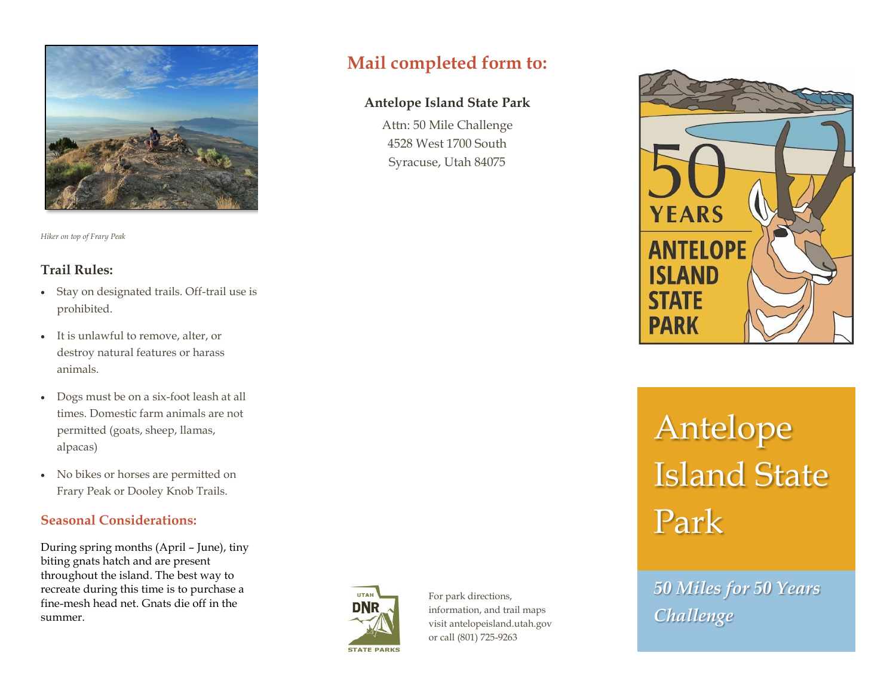

*Hiker on top of Frary Peak*

## **Trail Rules:**

- Stay on designated trails. Off-trail use is prohibited.
- It is unlawful to remove, alter, or destroy natural features or harass animals.
- Dogs must be on a six-foot leash at all times. Domestic farm animals are not permitted (goats, sheep, llamas, alpacas)
- No bikes or horses are permitted on Frary Peak or Dooley Knob Trails.

## **Seasonal Considerations:**

During spring months (April – June), tiny biting gnats hatch and are present throughout the island. The best way to recreate during this time is to purchase a fine-mesh head net. Gnats die off in the summer.



For park directions, information, and trail maps visit antelopeisland.utah.gov or call (801) 725-9263

**Mail completed form to:**

**Antelope Island State Park**

Attn: 50 Mile Challenge 4528 West 1700 South Syracuse, Utah 84075



# Antelope Island State Park

*50 Miles for 50 Years Challenge*